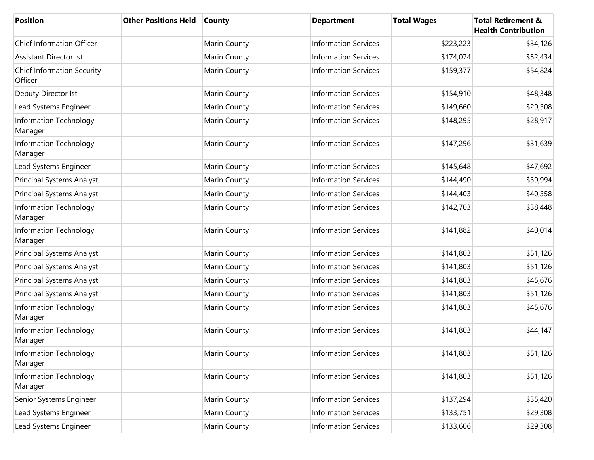| <b>Position</b>                              | <b>Other Positions Held</b> | <b>County</b> | <b>Department</b>           | <b>Total Wages</b> | <b>Total Retirement &amp;</b><br><b>Health Contribution</b> |
|----------------------------------------------|-----------------------------|---------------|-----------------------------|--------------------|-------------------------------------------------------------|
| <b>Chief Information Officer</b>             |                             | Marin County  | <b>Information Services</b> | \$223,223          | \$34,126                                                    |
| <b>Assistant Director Ist</b>                |                             | Marin County  | <b>Information Services</b> | \$174,074          | \$52,434                                                    |
| <b>Chief Information Security</b><br>Officer |                             | Marin County  | <b>Information Services</b> | \$159,377          | \$54,824                                                    |
| Deputy Director Ist                          |                             | Marin County  | <b>Information Services</b> | \$154,910          | \$48,348                                                    |
| Lead Systems Engineer                        |                             | Marin County  | <b>Information Services</b> | \$149,660          | \$29,308                                                    |
| Information Technology<br>Manager            |                             | Marin County  | <b>Information Services</b> | \$148,295          | \$28,917                                                    |
| Information Technology<br>Manager            |                             | Marin County  | <b>Information Services</b> | \$147,296          | \$31,639                                                    |
| Lead Systems Engineer                        |                             | Marin County  | <b>Information Services</b> | \$145,648          | \$47,692                                                    |
| Principal Systems Analyst                    |                             | Marin County  | <b>Information Services</b> | \$144,490          | \$39,994                                                    |
| Principal Systems Analyst                    |                             | Marin County  | <b>Information Services</b> | \$144,403          | \$40,358                                                    |
| Information Technology<br>Manager            |                             | Marin County  | <b>Information Services</b> | \$142,703          | \$38,448                                                    |
| Information Technology<br>Manager            |                             | Marin County  | <b>Information Services</b> | \$141,882          | \$40,014                                                    |
| Principal Systems Analyst                    |                             | Marin County  | <b>Information Services</b> | \$141,803          | \$51,126                                                    |
| Principal Systems Analyst                    |                             | Marin County  | <b>Information Services</b> | \$141,803          | \$51,126                                                    |
| Principal Systems Analyst                    |                             | Marin County  | <b>Information Services</b> | \$141,803          | \$45,676                                                    |
| Principal Systems Analyst                    |                             | Marin County  | <b>Information Services</b> | \$141,803          | \$51,126                                                    |
| Information Technology<br>Manager            |                             | Marin County  | <b>Information Services</b> | \$141,803          | \$45,676                                                    |
| Information Technology<br>Manager            |                             | Marin County  | <b>Information Services</b> | \$141,803          | \$44,147                                                    |
| Information Technology<br>Manager            |                             | Marin County  | <b>Information Services</b> | \$141,803          | \$51,126                                                    |
| Information Technology<br>Manager            |                             | Marin County  | <b>Information Services</b> | \$141,803          | \$51,126                                                    |
| Senior Systems Engineer                      |                             | Marin County  | <b>Information Services</b> | \$137,294          | \$35,420                                                    |
| Lead Systems Engineer                        |                             | Marin County  | <b>Information Services</b> | \$133,751          | \$29,308                                                    |
| Lead Systems Engineer                        |                             | Marin County  | <b>Information Services</b> | \$133,606          | \$29,308                                                    |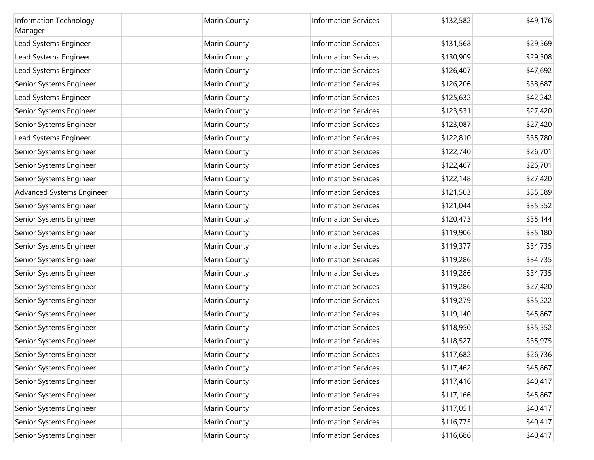| Information Technology<br>Manager | Marin County | <b>Information Services</b> | \$132,582 | \$49,176 |
|-----------------------------------|--------------|-----------------------------|-----------|----------|
| Lead Systems Engineer             | Marin County | <b>Information Services</b> | \$131,568 | \$29,569 |
| Lead Systems Engineer             | Marin County | <b>Information Services</b> | \$130,909 | \$29,308 |
| Lead Systems Engineer             | Marin County | <b>Information Services</b> | \$126,407 | \$47,692 |
| Senior Systems Engineer           | Marin County | <b>Information Services</b> | \$126,206 | \$38,687 |
| Lead Systems Engineer             | Marin County | <b>Information Services</b> | \$125,632 | \$42,242 |
| Senior Systems Engineer           | Marin County | <b>Information Services</b> | \$123,531 | \$27,420 |
| Senior Systems Engineer           | Marin County | <b>Information Services</b> | \$123,087 | \$27,420 |
| Lead Systems Engineer             | Marin County | <b>Information Services</b> | \$122,810 | \$35,780 |
| Senior Systems Engineer           | Marin County | <b>Information Services</b> | \$122,740 | \$26,701 |
| Senior Systems Engineer           | Marin County | <b>Information Services</b> | \$122,467 | \$26,701 |
| Senior Systems Engineer           | Marin County | <b>Information Services</b> | \$122,148 | \$27,420 |
| Advanced Systems Engineer         | Marin County | <b>Information Services</b> | \$121,503 | \$35,589 |
| Senior Systems Engineer           | Marin County | <b>Information Services</b> | \$121,044 | \$35,552 |
| Senior Systems Engineer           | Marin County | <b>Information Services</b> | \$120,473 | \$35,144 |
| Senior Systems Engineer           | Marin County | <b>Information Services</b> | \$119,906 | \$35,180 |
| Senior Systems Engineer           | Marin County | <b>Information Services</b> | \$119,377 | \$34,735 |
| Senior Systems Engineer           | Marin County | <b>Information Services</b> | \$119,286 | \$34,735 |
| Senior Systems Engineer           | Marin County | <b>Information Services</b> | \$119,286 | \$34,735 |
| Senior Systems Engineer           | Marin County | <b>Information Services</b> | \$119,286 | \$27,420 |
| Senior Systems Engineer           | Marin County | <b>Information Services</b> | \$119,279 | \$35,222 |
| Senior Systems Engineer           | Marin County | <b>Information Services</b> | \$119,140 | \$45,867 |
| Senior Systems Engineer           | Marin County | <b>Information Services</b> | \$118,950 | \$35,552 |
| Senior Systems Engineer           | Marin County | <b>Information Services</b> | \$118,527 | \$35,975 |
| Senior Systems Engineer           | Marin County | <b>Information Services</b> | \$117,682 | \$26,736 |
| Senior Systems Engineer           | Marin County | <b>Information Services</b> | \$117,462 | \$45,867 |
| Senior Systems Engineer           | Marin County | <b>Information Services</b> | \$117,416 | \$40,417 |
| Senior Systems Engineer           | Marin County | <b>Information Services</b> | \$117,166 | \$45,867 |
| Senior Systems Engineer           | Marin County | <b>Information Services</b> | \$117,051 | \$40,417 |
| Senior Systems Engineer           | Marin County | <b>Information Services</b> | \$116,775 | \$40,417 |
| Senior Systems Engineer           | Marin County | <b>Information Services</b> | \$116,686 | \$40,417 |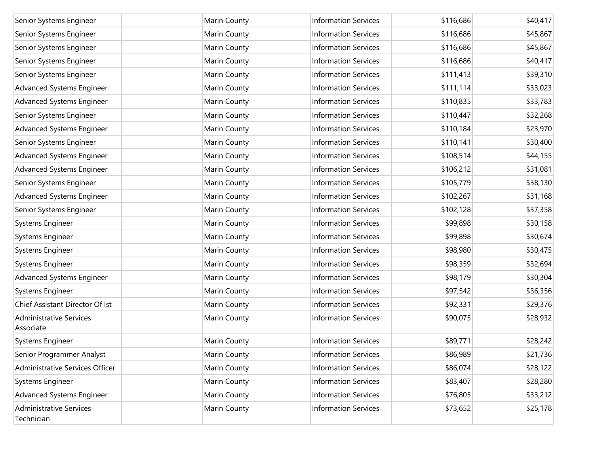| Senior Systems Engineer                      | Marin County | <b>Information Services</b> | \$116,686 | \$40,417 |
|----------------------------------------------|--------------|-----------------------------|-----------|----------|
| Senior Systems Engineer                      | Marin County | <b>Information Services</b> | \$116,686 | \$45,867 |
| Senior Systems Engineer                      | Marin County | <b>Information Services</b> | \$116,686 | \$45,867 |
| Senior Systems Engineer                      | Marin County | <b>Information Services</b> | \$116,686 | \$40,417 |
| Senior Systems Engineer                      | Marin County | <b>Information Services</b> | \$111,413 | \$39,310 |
| Advanced Systems Engineer                    | Marin County | <b>Information Services</b> | \$111,114 | \$33,023 |
| Advanced Systems Engineer                    | Marin County | <b>Information Services</b> | \$110,835 | \$33,783 |
| Senior Systems Engineer                      | Marin County | <b>Information Services</b> | \$110,447 | \$32,268 |
| Advanced Systems Engineer                    | Marin County | <b>Information Services</b> | \$110,184 | \$23,970 |
| Senior Systems Engineer                      | Marin County | <b>Information Services</b> | \$110,141 | \$30,400 |
| Advanced Systems Engineer                    | Marin County | <b>Information Services</b> | \$108,514 | \$44,155 |
| Advanced Systems Engineer                    | Marin County | <b>Information Services</b> | \$106,212 | \$31,081 |
| Senior Systems Engineer                      | Marin County | <b>Information Services</b> | \$105,779 | \$38,130 |
| Advanced Systems Engineer                    | Marin County | <b>Information Services</b> | \$102,267 | \$31,168 |
| Senior Systems Engineer                      | Marin County | <b>Information Services</b> | \$102,128 | \$37,358 |
| Systems Engineer                             | Marin County | <b>Information Services</b> | \$99,898  | \$30,158 |
| Systems Engineer                             | Marin County | <b>Information Services</b> | \$99,898  | \$30,674 |
| Systems Engineer                             | Marin County | <b>Information Services</b> | \$98,980  | \$30,475 |
| Systems Engineer                             | Marin County | <b>Information Services</b> | \$98,359  | \$32,694 |
| Advanced Systems Engineer                    | Marin County | <b>Information Services</b> | \$98,179  | \$30,304 |
| Systems Engineer                             | Marin County | <b>Information Services</b> | \$97,542  | \$36,356 |
| Chief Assistant Director Of Ist              | Marin County | <b>Information Services</b> | \$92,331  | \$29,376 |
| <b>Administrative Services</b><br>Associate  | Marin County | <b>Information Services</b> | \$90,075  | \$28,932 |
| Systems Engineer                             | Marin County | <b>Information Services</b> | \$89,771  | \$28,242 |
| Senior Programmer Analyst                    | Marin County | <b>Information Services</b> | \$86,989  | \$21,736 |
| Administrative Services Officer              | Marin County | <b>Information Services</b> | \$86,074  | \$28,122 |
| Systems Engineer                             | Marin County | <b>Information Services</b> | \$83,407  | \$28,280 |
| Advanced Systems Engineer                    | Marin County | <b>Information Services</b> | \$76,805  | \$33,212 |
| <b>Administrative Services</b><br>Technician | Marin County | <b>Information Services</b> | \$73,652  | \$25,178 |